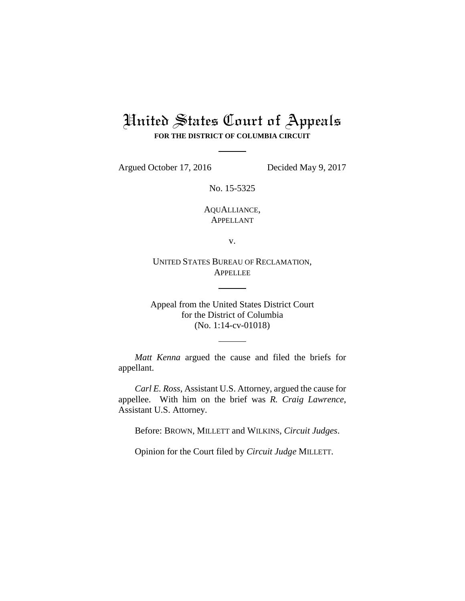## United States Court of Appeals **FOR THE DISTRICT OF COLUMBIA CIRCUIT**

Argued October 17, 2016 Decided May 9, 2017

No. 15-5325

AQUALLIANCE, APPELLANT

v.

UNITED STATES BUREAU OF RECLAMATION, **APPELLEE** 

Appeal from the United States District Court for the District of Columbia (No. 1:14-cv-01018)

*Matt Kenna* argued the cause and filed the briefs for appellant.

*Carl E. Ross*, Assistant U.S. Attorney, argued the cause for appellee. With him on the brief was *R. Craig Lawrence*, Assistant U.S. Attorney.

Before: BROWN, MILLETT and WILKINS, *Circuit Judges*.

Opinion for the Court filed by *Circuit Judge* MILLETT.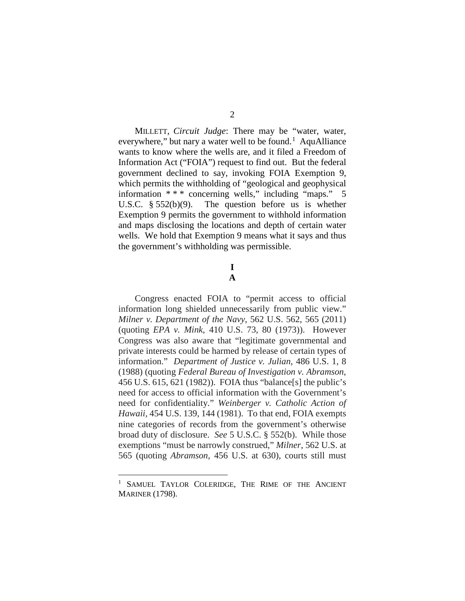MILLETT, *Circuit Judge*: There may be "water, water, everywhere," but nary a water well to be found.<sup>[1](#page-1-0)</sup> AquAlliance wants to know where the wells are, and it filed a Freedom of Information Act ("FOIA") request to find out. But the federal government declined to say, invoking FOIA Exemption 9, which permits the withholding of "geological and geophysical information \* \* \* concerning wells," including "maps." 5 U.S.C. § 552(b)(9). The question before us is whether Exemption 9 permits the government to withhold information and maps disclosing the locations and depth of certain water wells. We hold that Exemption 9 means what it says and thus the government's withholding was permissible.

## **I**

**A**

Congress enacted FOIA to "permit access to official information long shielded unnecessarily from public view." *Milner v. Department of the Navy*, 562 U.S. 562, 565 (2011) (quoting *EPA v. Mink*, 410 U.S. 73, 80 (1973)). However Congress was also aware that "legitimate governmental and private interests could be harmed by release of certain types of information." *Department of Justice v. Julian*, 486 U.S. 1, 8 (1988) (quoting *Federal Bureau of Investigation v. Abramson*, 456 U.S. 615, 621 (1982)). FOIA thus "balance[s] the public's need for access to official information with the Government's need for confidentiality." *Weinberger v. Catholic Action of Hawaii*, 454 U.S. 139, 144 (1981). To that end, FOIA exempts nine categories of records from the government's otherwise broad duty of disclosure. *See* 5 U.S.C. § 552(b). While those exemptions "must be narrowly construed," *Milner*, 562 U.S. at 565 (quoting *Abramson*, 456 U.S. at 630), courts still must

<span id="page-1-0"></span>SAMUEL TAYLOR COLERIDGE, THE RIME OF THE ANCIENT MARINER (1798).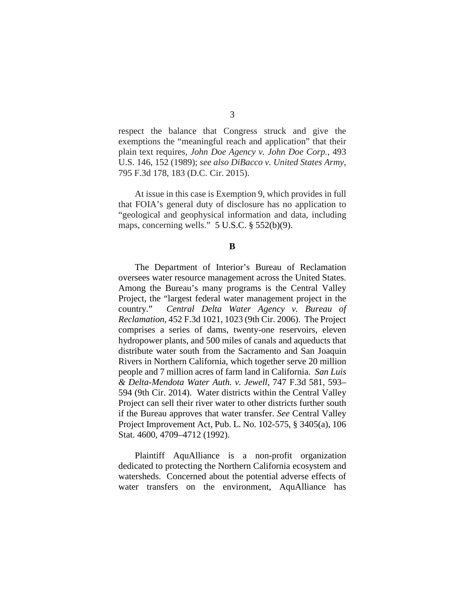respect the balance that Congress struck and give the exemptions the "meaningful reach and application" that their plain text requires, *John Doe Agency v. John Doe Corp.*, 493 U.S. 146, 152 (1989); *see also DiBacco v. United States Army*, 795 F.3d 178, 183 (D.C. Cir. 2015).

At issue in this case is Exemption 9, which provides in full that FOIA's general duty of disclosure has no application to "geological and geophysical information and data, including maps, concerning wells." 5 U.S.C. § 552(b)(9).

## **B**

The Department of Interior's Bureau of Reclamation oversees water resource management across the United States. Among the Bureau's many programs is the Central Valley Project, the "largest federal water management project in the country." *Central Delta Water Agency v. Bureau of Reclamation*, 452 F.3d 1021, 1023 (9th Cir. 2006). The Project comprises a series of dams, twenty-one reservoirs, eleven hydropower plants, and 500 miles of canals and aqueducts that distribute water south from the Sacramento and San Joaquin Rivers in Northern California, which together serve 20 million people and 7 million acres of farm land in California. *San Luis & Delta-Mendota Water Auth. v. Jewell*, 747 F.3d 581, 593– 594 (9th Cir. 2014). Water districts within the Central Valley Project can sell their river water to other districts further south if the Bureau approves that water transfer. *See* Central Valley Project Improvement Act, Pub. L. No. 102-575, § 3405(a), 106 Stat. 4600, 4709–4712 (1992).

Plaintiff AquAlliance is a non-profit organization dedicated to protecting the Northern California ecosystem and watersheds.Concerned about the potential adverse effects of water transfers on the environment, AquAlliance has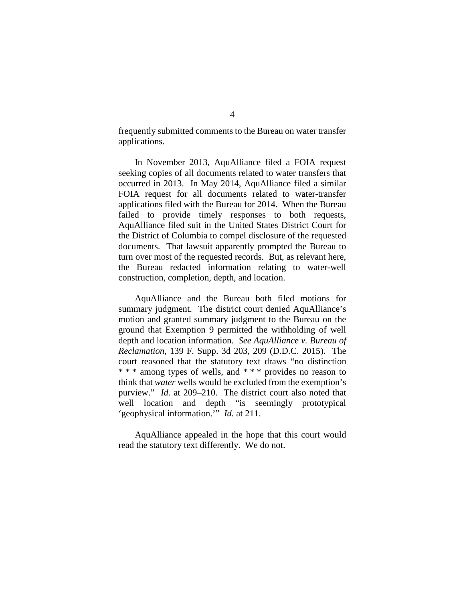frequently submitted comments to the Bureau on water transfer applications.

In November 2013, AquAlliance filed a FOIA request seeking copies of all documents related to water transfers that occurred in 2013. In May 2014, AquAlliance filed a similar FOIA request for all documents related to water-transfer applications filed with the Bureau for 2014.When the Bureau failed to provide timely responses to both requests, AquAlliance filed suit in the United States District Court for the District of Columbia to compel disclosure of the requested documents. That lawsuit apparently prompted the Bureau to turn over most of the requested records. But, as relevant here, the Bureau redacted information relating to water-well construction, completion, depth, and location.

AquAlliance and the Bureau both filed motions for summary judgment. The district court denied AquAlliance's motion and granted summary judgment to the Bureau on the ground that Exemption 9 permitted the withholding of well depth and location information. *See AquAlliance v. Bureau of Reclamation*, 139 F. Supp. 3d 203, 209 (D.D.C. 2015). The court reasoned that the statutory text draws "no distinction \* \* \* among types of wells, and \* \* \* provides no reason to think that *water* wells would be excluded from the exemption's purview." *Id.* at 209–210. The district court also noted that well location and depth "is seemingly prototypical 'geophysical information.'" *Id.* at 211.

AquAlliance appealed in the hope that this court would read the statutory text differently. We do not.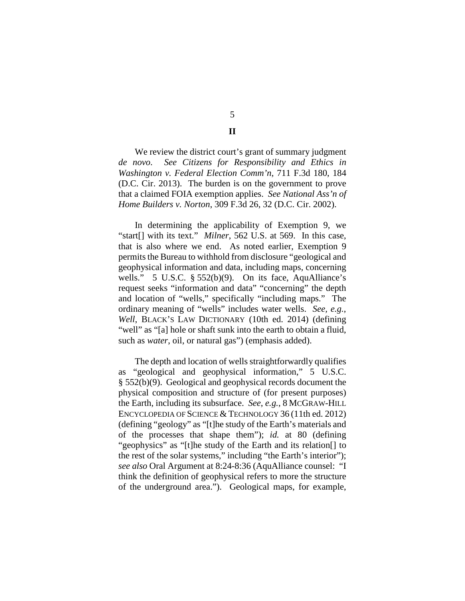We review the district court's grant of summary judgment *de novo*. *See Citizens for Responsibility and Ethics in Washington v. Federal Election Comm'n*, 711 F.3d 180, 184 (D.C. Cir. 2013). The burden is on the government to prove that a claimed FOIA exemption applies. *See National Ass'n of Home Builders v. Norton*, 309 F.3d 26, 32 (D.C. Cir. 2002).

In determining the applicability of Exemption 9, we "start[] with its text." *Milner*, 562 U.S. at 569. In this case, that is also where we end. As noted earlier, Exemption 9 permits the Bureau to withhold from disclosure "geological and geophysical information and data, including maps, concerning wells." 5 U.S.C. § 552(b)(9). On its face, AquAlliance's request seeks "information and data" "concerning" the depth and location of "wells," specifically "including maps." The ordinary meaning of "wells" includes water wells. *See, e.g.*, *Well*, BLACK'S LAW DICTIONARY (10th ed. 2014) (defining "well" as "[a] hole or shaft sunk into the earth to obtain a fluid, such as *water*, oil, or natural gas") (emphasis added).

The depth and location of wells straightforwardly qualifies as "geological and geophysical information," 5 U.S.C. § 552(b)(9). Geological and geophysical records document the physical composition and structure of (for present purposes) the Earth, including its subsurface. *See*, *e.g.*, 8 MCGRAW-HILL ENCYCLOPEDIA OF SCIENCE & TECHNOLOGY 36 (11th ed. 2012) (defining "geology" as "[t]he study of the Earth's materials and of the processes that shape them"); *id.* at 80 (defining "geophysics" as "[t]he study of the Earth and its relation[] to the rest of the solar systems," including "the Earth's interior"); *see also* Oral Argument at 8:24-8:36 (AquAlliance counsel: "I think the definition of geophysical refers to more the structure of the underground area."). Geological maps, for example,

5 **II**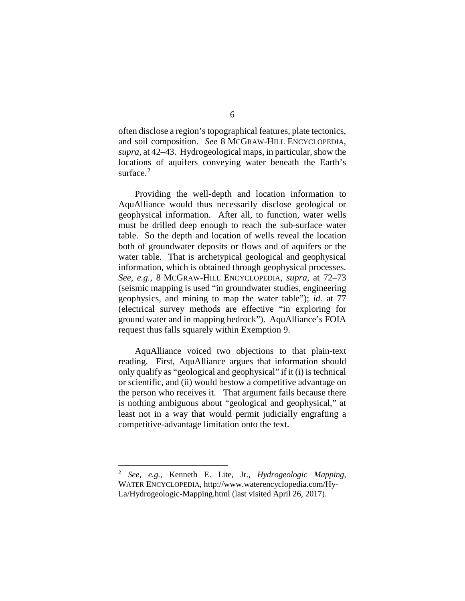often disclose a region's topographical features, plate tectonics, and soil composition. *See* 8 MCGRAW-HILL ENCYCLOPEDIA, *supra*, at 42–43. Hydrogeological maps, in particular, show the locations of aquifers conveying water beneath the Earth's surface.<sup>[2](#page-5-0)</sup>

Providing the well-depth and location information to AquAlliance would thus necessarily disclose geological or geophysical information. After all, to function, water wells must be drilled deep enough to reach the sub-surface water table. So the depth and location of wells reveal the location both of groundwater deposits or flows and of aquifers or the water table. That is archetypical geological and geophysical information, which is obtained through geophysical processes. *See, e.g.*, 8 MCGRAW-HILL ENCYCLOPEDIA, *supra*, at 72–73 (seismic mapping is used "in groundwater studies, engineering geophysics, and mining to map the water table"); *id.* at 77 (electrical survey methods are effective "in exploring for ground water and in mapping bedrock"). AquAlliance's FOIA request thus falls squarely within Exemption 9.

AquAlliance voiced two objections to that plain-text reading. First, AquAlliance argues that information should only qualify as "geological and geophysical" if it (i) is technical or scientific, and (ii) would bestow a competitive advantage on the person who receives it. That argument fails because there is nothing ambiguous about "geological and geophysical," at least not in a way that would permit judicially engrafting a competitive-advantage limitation onto the text.

<span id="page-5-0"></span> <sup>2</sup> *See, e.g.*, Kenneth E. Lite, Jr., *Hydrogeologic Mapping*, WATER ENCYCLOPEDIA, http://www.waterencyclopedia.com/Hy-La/Hydrogeologic-Mapping.html (last visited April 26, 2017).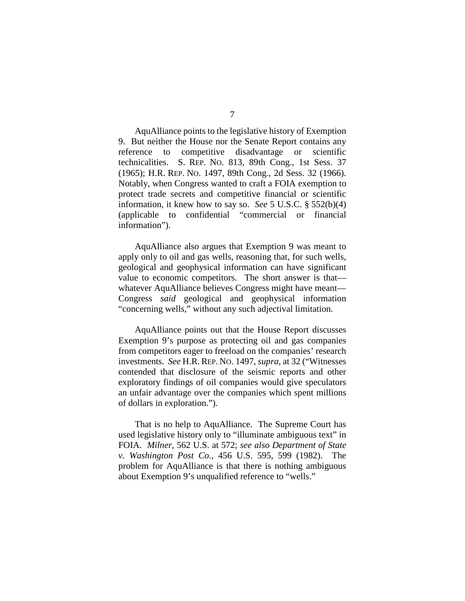AquAlliance points to the legislative history of Exemption 9. But neither the House nor the Senate Report contains any reference to competitive disadvantage or scientific technicalities. S. REP. NO. 813, 89th Cong., 1st Sess. 37 (1965); H.R. REP. NO. 1497, 89th Cong., 2d Sess. 32 (1966). Notably, when Congress wanted to craft a FOIA exemption to protect trade secrets and competitive financial or scientific information, it knew how to say so. *See* 5 U.S.C. § 552(b)(4) (applicable to confidential "commercial or financial information").

AquAlliance also argues that Exemption 9 was meant to apply only to oil and gas wells, reasoning that, for such wells, geological and geophysical information can have significant value to economic competitors. The short answer is that whatever AquAlliance believes Congress might have meant— Congress *said* geological and geophysical information "concerning wells," without any such adjectival limitation.

AquAlliance points out that the House Report discusses Exemption 9's purpose as protecting oil and gas companies from competitors eager to freeload on the companies' research investments. *See* H.R. REP. NO. 1497, *supra*, at 32 ("Witnesses contended that disclosure of the seismic reports and other exploratory findings of oil companies would give speculators an unfair advantage over the companies which spent millions of dollars in exploration.").

That is no help to AquAlliance. The Supreme Court has used legislative history only to "illuminate ambiguous text" in FOIA. *Milner*, 562 U.S. at 572; *see also Department of State v. Washington Post Co.*, 456 U.S. 595, 599 (1982). The problem for AquAlliance is that there is nothing ambiguous about Exemption 9's unqualified reference to "wells."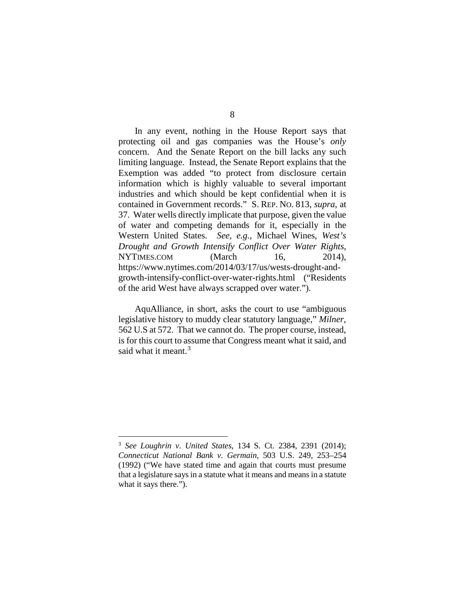In any event, nothing in the House Report says that protecting oil and gas companies was the House's *only* concern. And the Senate Report on the bill lacks any such limiting language. Instead, the Senate Report explains that the Exemption was added "to protect from disclosure certain information which is highly valuable to several important industries and which should be kept confidential when it is contained in Government records." S. REP. NO. 813, *supra*, at 37. Water wells directly implicate that purpose, given the value of water and competing demands for it, especially in the Western United States. *See, e.g.*, Michael Wines, *West's Drought and Growth Intensify Conflict Over Water Rights*, NYTIMES.COM (March 16, 2014). https://www.nytimes.com/2014/03/17/us/wests-drought-andgrowth-intensify-conflict-over-water-rights.html ("Residents of the arid West have always scrapped over water.").

AquAlliance, in short, asks the court to use "ambiguous legislative history to muddy clear statutory language," *Milner*, 562 U.S at 572. That we cannot do. The proper course, instead, is for this court to assume that Congress meant what it said, and said what it meant.<sup>[3](#page-7-0)</sup>

<span id="page-7-0"></span> <sup>3</sup> *See Loughrin v. United States*, 134 S. Ct. 2384, 2391 (2014); *Connecticut National Bank v. Germain*, 503 U.S. 249, 253–254 (1992) ("We have stated time and again that courts must presume that a legislature says in a statute what it means and means in a statute what it says there.").